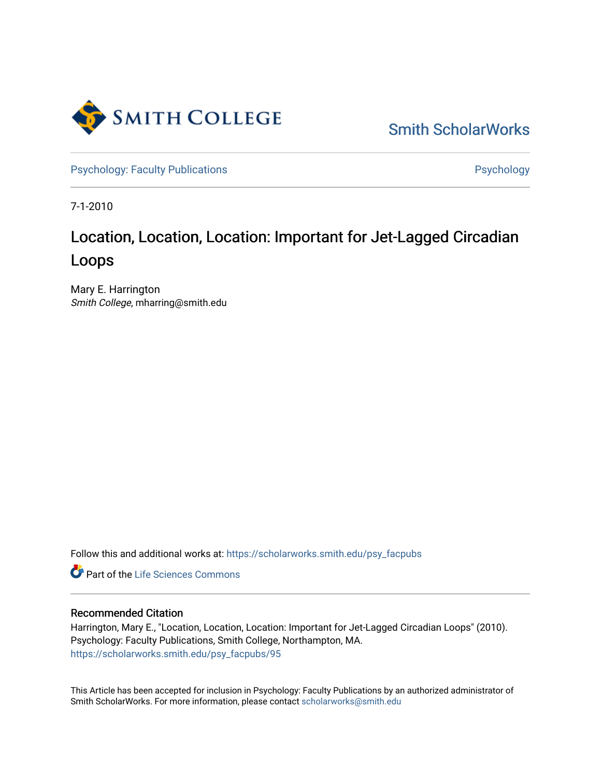

[Smith ScholarWorks](https://scholarworks.smith.edu/) 

[Psychology: Faculty Publications](https://scholarworks.smith.edu/psy_facpubs) **Psychology** Psychology

7-1-2010

# Location, Location, Location: Important for Jet-Lagged Circadian Loops

Mary E. Harrington Smith College, mharring@smith.edu

Follow this and additional works at: [https://scholarworks.smith.edu/psy\\_facpubs](https://scholarworks.smith.edu/psy_facpubs?utm_source=scholarworks.smith.edu%2Fpsy_facpubs%2F95&utm_medium=PDF&utm_campaign=PDFCoverPages) 

Part of the [Life Sciences Commons](http://network.bepress.com/hgg/discipline/1016?utm_source=scholarworks.smith.edu%2Fpsy_facpubs%2F95&utm_medium=PDF&utm_campaign=PDFCoverPages) 

# Recommended Citation

Harrington, Mary E., "Location, Location, Location: Important for Jet-Lagged Circadian Loops" (2010). Psychology: Faculty Publications, Smith College, Northampton, MA. [https://scholarworks.smith.edu/psy\\_facpubs/95](https://scholarworks.smith.edu/psy_facpubs/95?utm_source=scholarworks.smith.edu%2Fpsy_facpubs%2F95&utm_medium=PDF&utm_campaign=PDFCoverPages)

This Article has been accepted for inclusion in Psychology: Faculty Publications by an authorized administrator of Smith ScholarWorks. For more information, please contact [scholarworks@smith.edu](mailto:scholarworks@smith.edu)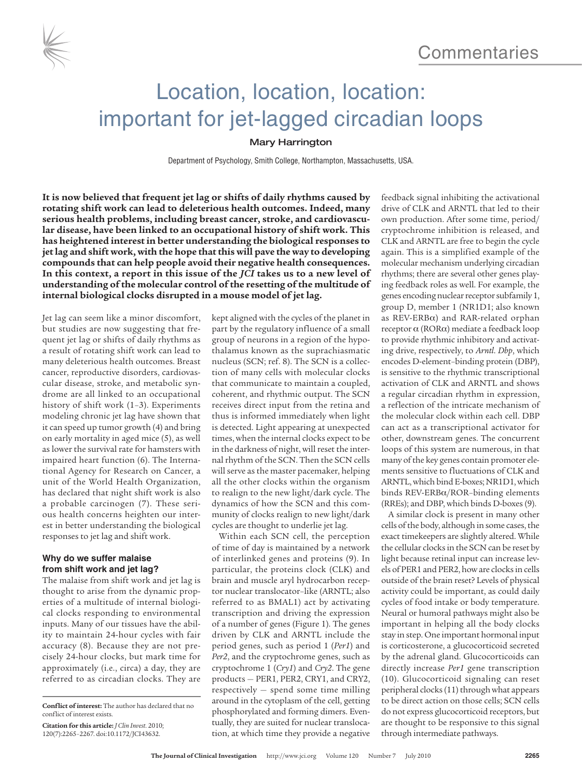



# Location, location, location: important for jet-lagged circadian loops

## Mary Harrington

Department of Psychology, Smith College, Northampton, Massachusetts, USA.

**It is now believed that frequent jet lag or shifts of daily rhythms caused by rotating shift work can lead to deleterious health outcomes. Indeed, many serious health problems, including breast cancer, stroke, and cardiovascular disease, have been linked to an occupational history of shift work. This has heightened interest in better understanding the biological responses to jetlag and shift work, with the hope thatthis will pave the way to developing compounds that can help people avoid their negative health consequences. In this context, a report in this issue of the** *JCI* **takes us to a new level of understanding of the molecular control of the resetting of the multitude of internal biological clocks disrupted in a mouse model of jet lag.**

Jet lag can seem like a minor discomfort, but studies are now suggesting that frequent jet lag or shifts of daily rhythms as a result of rotating shift work can lead to many deleterious health outcomes. Breast cancer, reproductive disorders, cardiovascular disease, stroke, and metabolic syndrome are all linked to an occupational history of shift work (1–3). Experiments modeling chronic jet lag have shown that it can speed up tumor growth (4) and bring on early mortality in aged mice (5), as well as lower the survival rate for hamsters with impaired heart function (6). The International Agency for Research on Cancer, a unit of the World Health Organization, has declared that night shift work is also a probable carcinogen (7). These serious health concerns heighten our interest in better understanding the biological responses to jet lag and shift work.

# **Why do we suffer malaise from shift work and jet lag?**

The malaise from shift work and jet lag is thought to arise from the dynamic properties of a multitude of internal biological clocks responding to environmental inputs. Many of our tissues have the ability to maintain 24-hour cycles with fair accuracy (8). Because they are not precisely 24-hour clocks, but mark time for approximately (i.e., circa) a day, they are referred to as circadian clocks. They are

kept aligned with the cycles of the planet in part by the regulatory influence of a small group of neurons in a region of the hypothalamus known as the suprachiasmatic nucleus (SCN; ref. 8). The SCN is a collection of many cells with molecular clocks that communicate to maintain a coupled, coherent, and rhythmic output. The SCN receives direct input from the retina and thus is informed immediately when light is detected. Light appearing at unexpected times, when the internal clocks expect to be in the darkness of night, will reset the internal rhythm of the SCN. Then the SCN cells will serve as the master pacemaker, helping all the other clocks within the organism to realign to the new light/dark cycle. The dynamics of how the SCN and this community of clocks realign to new light/dark cycles are thought to underlie jet lag.

Within each SCN cell, the perception of time of day is maintained by a network of interlinked genes and proteins (9). In particular, the proteins clock (CLK) and brain and muscle aryl hydrocarbon receptor nuclear translocator–like (ARNTL; also referred to as BMAL1) act by activating transcription and driving the expression of a number of genes (Figure 1). The genes driven by CLK and ARNTL include the period genes, such as period 1 (*Per1*) and *Per2*, and the cryptochrome genes, such as cryptochrome 1 (*Cry1*) and *Cry2*. The gene products — PER1, PER2, CRY1, and CRY2, respectively — spend some time milling around in the cytoplasm of the cell, getting phosphorylated and forming dimers. Eventually, they are suited for nuclear translocation, at which time they provide a negative

feedback signal inhibiting the activational drive of CLK and ARNTL that led to their own production. After some time, period/ cryptochrome inhibition is released, and CLK and ARNTL are free to begin the cycle again. This is a simplified example of the molecular mechanism underlying circadian rhythms; there are several other genes playing feedback roles as well. For example, the genes encoding nuclear receptor subfamily 1, group D, member 1 (NR1D1; also known as REV-ERBa) and RAR-related orphan receptor  $\alpha$  (ROR $\alpha$ ) mediate a feedback loop to provide rhythmic inhibitory and activating drive, respectively, to *Arntl*. *Dbp*, which encodes D-element–binding protein (DBP), is sensitive to the rhythmic transcriptional activation of CLK and ARNTL and shows a regular circadian rhythm in expression, a reflection of the intricate mechanism of the molecular clock within each cell. DBP can act as a transcriptional activator for other, downstream genes. The concurrent loops of this system are numerous, in that many of the key genes contain promoter elements sensitive to fluctuations of CLK and ARNTL, which bind E-boxes; NR1D1, which binds REV-ERBa/ROR–binding elements (RREs); and DBP, which binds D-boxes(9).

A similar clock is present in many other cells of the body, although in some cases, the exact timekeepers are slightly altered. While the cellular clocks in the SCN can be reset by light because retinal input can increase levels of PER1 and PER2, howare clocksin cells outside of the brain reset? Levels of physical activity could be important, as could daily cycles of food intake or body temperature. Neural or humoral pathways might also be important in helping all the body clocks stay in step. One important hormonal input is corticosterone, a glucocorticoid secreted by the adrenal gland. Glucocorticoids can directly increase *Per1* gene transcription (10). Glucocorticoid signaling can reset peripheral clocks (11) through what appears to be direct action on those cells; SCN cells do not express glucocorticoid receptors, but are thought to be responsive to this signal through intermediate pathways.

**Conflict of interest:** The author has declared that no conflict of interest exists.

**Citation for this article:** *J Clin Invest*. 2010; 120(7):2265–2267. doi:10.1172/JCI43632.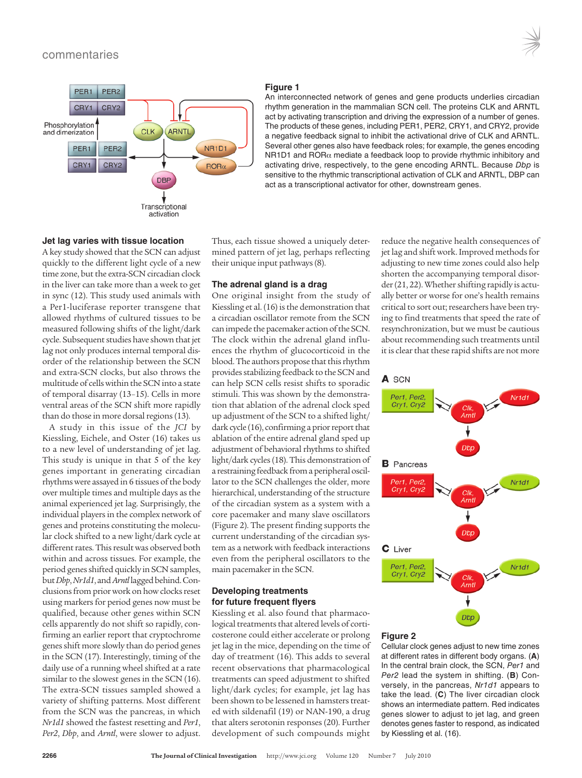

#### **Figure 1**

An interconnected network of genes and gene products underlies circadian rhythm generation in the mammalian SCN cell. The proteins CLK and ARNTL act by activating transcription and driving the expression of a number of genes. The products of these genes, including PER1, PER2, CRY1, and CRY2, provide a negative feedback signal to inhibit the activational drive of CLK and ARNTL. Several other genes also have feedback roles; for example, the genes encoding NR1D1 and ROR $\alpha$  mediate a feedback loop to provide rhythmic inhibitory and activating drive, respectively, to the gene encoding ARNTL. Because Dbp is sensitive to the rhythmic transcriptional activation of CLK and ARNTL, DBP can act as a transcriptional activator for other, downstream genes.

#### **Jet lag varies with tissue location**

A key study showed that the SCN can adjust quickly to the different light cycle of a new time zone, but the extra-SCN circadian clock in the liver can take more than a week to get in sync (12). This study used animals with a Per1-luciferase reporter transgene that allowed rhythms of cultured tissues to be measured following shifts of the light/dark cycle. Subsequent studies have shown that jet lag not only produces internal temporal disorder of the relationship between the SCN and extra-SCN clocks, but also throws the multitude of cells within the SCN into a state of temporal disarray (13–15). Cells in more ventral areas of the SCN shift more rapidly than do those in more dorsal regions (13).

A study in this issue of the *JCI* by Kiessling, Eichele, and Oster (16) takes us to a new level of understanding of jet lag. This study is unique in that 5 of the key genes important in generating circadian rhythms were assayed in 6 tissues of the body over multiple times and multiple days asthe animal experienced jet lag. Surprisingly, the individual players in the complex network of genes and proteins constituting the molecular clock shifted to a new light/dark cycle at different rates. This result was observed both within and across tissues. For example, the period genes shifted quickly in SCN samples, but*Dbp*,*Nr1d1*, and*Arntl*laggedbehind.Conclusions from prior work on how clocks reset using markers for period genes now must be qualified, because other genes within SCN cells apparently do not shift so rapidly, confirming an earlier report that cryptochrome genes shift more slowly than do period genes in the SCN (17). Interestingly, timing of the daily use of a running wheel shifted at a rate similar to the slowest genes in the SCN (16). The extra-SCN tissues sampled showed a variety of shifting patterns. Most different from the SCN was the pancreas, in which *Nr1d1* showed the fastest resetting and *Per1*, *Per2*, *Dbp*, and *Arntl*, were slower to adjust.

Thus, each tissue showed a uniquely determined pattern of jet lag, perhaps reflecting their unique input pathways(8).

# **The adrenal gland is a drag**

One original insight from the study of Kiessling et al. (16) is the demonstration that a circadian oscillator remote from the SCN can impede the pacemaker action of the SCN. The clock within the adrenal gland influences the rhythm of glucocorticoid in the blood. The authors propose that this rhythm provides stabilizing feedback to the SCN and can help SCN cells resist shifts to sporadic stimuli. This was shown by the demonstration that ablation of the adrenal clock sped up adjustment of the SCN to a shifted light/ dark cycle (16), confirming a prior report that ablation of the entire adrenal gland sped up adjustment of behavioral rhythms to shifted light/dark cycles(18). This demonstration of a restraining feedback from a peripheral oscillator to the SCN challenges the older, more hierarchical, understanding of the structure of the circadian system as a system with a core pacemaker and many slave oscillators (Figure 2). The present finding supports the current understanding of the circadian system as a network with feedback interactions even from the peripheral oscillators to the main pacemakerin the SCN.

### **Developing treatments for future frequent flyers**

Kiessling et al. also found that pharmacological treatments that altered levels of corticosterone could either accelerate or prolong jet lag in the mice, depending on the time of day of treatment (16). This adds to several recent observations that pharmacological treatments can speed adjustment to shifted light/dark cycles; for example, jet lag has been shown to be lessened in hamsters treated with sildenafil (19) or NAN-190, a drug that alters serotonin responses (20). Further development of such compounds might

reduce the negative health consequences of jet lag and shift work. Improved methods for adjusting to new time zones could also help shorten the accompanying temporal disor $der(21, 22)$ . Whether shifting rapidly is actually better or worse for one's health remains critical to sort out; researchers have been trying to find treatments that speed the rate of resynchronization, but we must be cautious about recommending such treatments until it is clear that these rapid shifts are not more



#### **Figure 2**

Cellular clock genes adjust to new time zones at different rates in different body organs. (**A**) In the central brain clock, the SCN, Per1 and Per2 lead the system in shifting. (**B**) Conversely, in the pancreas, Nr1d1 appears to take the lead. (**C**) The liver circadian clock shows an intermediate pattern. Red indicates genes slower to adjust to jet lag, and green denotes genes faster to respond, as indicated by Kiessling et al. (16).